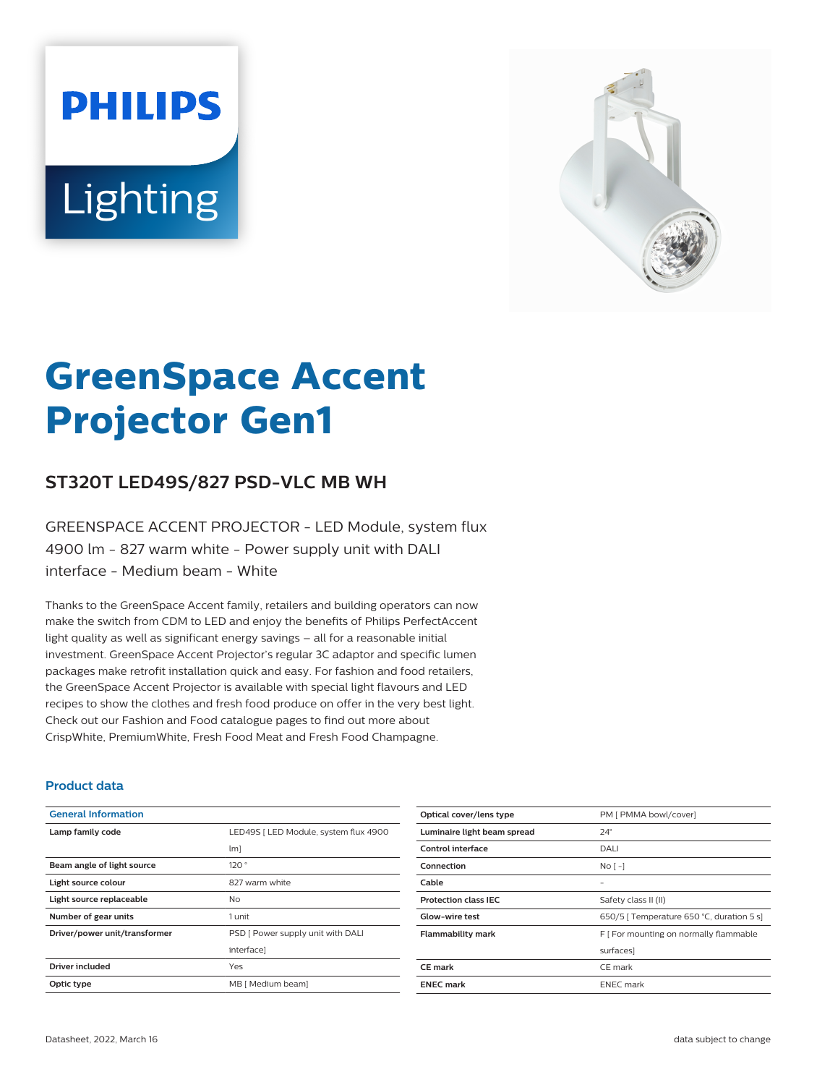# **PHILIPS** Lighting



# **GreenSpace Accent Projector Gen1**

# **ST320T LED49S/827 PSD-VLC MB WH**

GREENSPACE ACCENT PROJECTOR - LED Module, system flux 4900 lm - 827 warm white - Power supply unit with DALI interface - Medium beam - White

Thanks to the GreenSpace Accent family, retailers and building operators can now make the switch from CDM to LED and enjoy the benefits of Philips PerfectAccent light quality as well as significant energy savings – all for a reasonable initial investment. GreenSpace Accent Projector's regular 3C adaptor and specific lumen packages make retrofit installation quick and easy. For fashion and food retailers, the GreenSpace Accent Projector is available with special light flavours and LED recipes to show the clothes and fresh food produce on offer in the very best light. Check out our Fashion and Food catalogue pages to find out more about CrispWhite, PremiumWhite, Fresh Food Meat and Fresh Food Champagne.

#### **Product data**

| <b>General Information</b>    |                                       |
|-------------------------------|---------------------------------------|
| Lamp family code              | LED49S   LED Module, system flux 4900 |
|                               | $\lfloor m \rfloor$                   |
| Beam angle of light source    | 120°                                  |
| Light source colour           | 827 warm white                        |
| Light source replaceable      | No                                    |
| Number of gear units          | 1 unit                                |
| Driver/power unit/transformer | PSD [ Power supply unit with DALI     |
|                               | interface]                            |
| Driver included               | Yes                                   |
| Optic type                    | MB [ Medium beam]                     |

| Optical cover/lens type     | PM [ PMMA bowl/cover]                     |
|-----------------------------|-------------------------------------------|
| Luminaire light beam spread | $24^\circ$                                |
| Control interface           | DALI                                      |
| Connection                  | No <sub>1</sub>                           |
| Cable                       | -                                         |
| <b>Protection class IEC</b> | Safety class II (II)                      |
| <b>Glow-wire test</b>       | 650/5   Temperature 650 °C, duration 5 s] |
| <b>Flammability mark</b>    | F [ For mounting on normally flammable    |
|                             | surfaces]                                 |
| CE mark                     | CE mark                                   |
| <b>ENEC mark</b>            | <b>ENEC</b> mark                          |
|                             |                                           |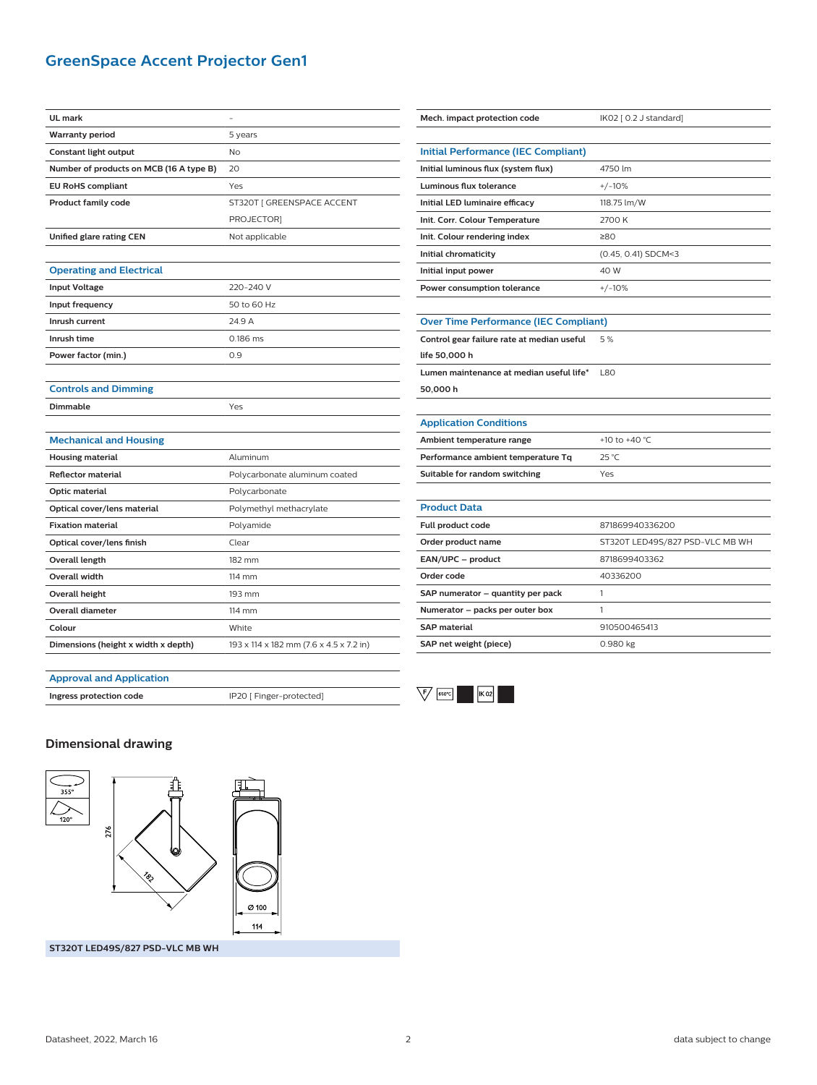## **GreenSpace Accent Projector Gen1**

| <b>UL</b> mark                          |                                         |
|-----------------------------------------|-----------------------------------------|
| <b>Warranty period</b>                  | 5 years                                 |
| Constant light output                   | No                                      |
| Number of products on MCB (16 A type B) | 20                                      |
| <b>EU RoHS compliant</b>                | Yes                                     |
| <b>Product family code</b>              | ST320T   GREENSPACE ACCENT              |
|                                         | PROJECTOR]                              |
| Unified glare rating CEN                | Not applicable                          |
|                                         |                                         |
| <b>Operating and Electrical</b>         |                                         |
| <b>Input Voltage</b>                    | 220-240 V                               |
| Input frequency                         | 50 to 60 Hz                             |
| Inrush current                          | 24.9 A                                  |
| Inrush time                             | 0.186 ms                                |
| Power factor (min.)                     | 0.9                                     |
|                                         |                                         |
| <b>Controls and Dimming</b>             |                                         |
| <b>Dimmable</b>                         | Yes                                     |
|                                         |                                         |
| <b>Mechanical and Housing</b>           |                                         |
| <b>Housing material</b>                 | Aluminum                                |
| <b>Reflector material</b>               | Polycarbonate aluminum coated           |
| Optic material                          | Polycarbonate                           |
| Optical cover/lens material             | Polymethyl methacrylate                 |
| <b>Fixation material</b>                | Polyamide                               |
| Optical cover/lens finish               | Clear                                   |
| <b>Overall length</b>                   | 182 mm                                  |
| Overall width                           | 114 mm                                  |
| Overall height                          | 193 mm                                  |
| <b>Overall diameter</b>                 | $114$ mm                                |
| Colour                                  | White                                   |
| Dimensions (height x width x depth)     | 193 x 114 x 182 mm (7.6 x 4.5 x 7.2 in) |
|                                         |                                         |

| Mech. impact protection code                 | IK02 [ 0.2 J standard]          |  |
|----------------------------------------------|---------------------------------|--|
|                                              |                                 |  |
| <b>Initial Performance (IEC Compliant)</b>   |                                 |  |
| Initial luminous flux (system flux)          | 4750 lm                         |  |
| <b>Luminous flux tolerance</b>               | $+/-10%$                        |  |
| Initial LED luminaire efficacy               | 118.75 lm/W                     |  |
| Init. Corr. Colour Temperature               | 2700 K                          |  |
| Init. Colour rendering index                 | 280                             |  |
| Initial chromaticity                         | (0.45, 0.41) SDCM<3             |  |
| Initial input power                          | 40 W                            |  |
| Power consumption tolerance                  | $+/-10%$                        |  |
|                                              |                                 |  |
| <b>Over Time Performance (IEC Compliant)</b> |                                 |  |
| Control gear failure rate at median useful   | 5%                              |  |
| life 50,000 h                                |                                 |  |
| Lumen maintenance at median useful life*     | L80                             |  |
| 50,000 h                                     |                                 |  |
|                                              |                                 |  |
| <b>Application Conditions</b>                |                                 |  |
| Ambient temperature range                    | +10 to +40 °C                   |  |
| Performance ambient temperature Tq           | 25 °C                           |  |
| Suitable for random switching                | Yes                             |  |
|                                              |                                 |  |
| <b>Product Data</b>                          |                                 |  |
| Full product code                            | 871869940336200                 |  |
| Order product name                           | ST320T LED49S/827 PSD-VLC MB WH |  |
| EAN/UPC - product                            | 8718699403362                   |  |
| Order code                                   | 40336200                        |  |
| SAP numerator - quantity per pack            | 1                               |  |
| Numerator - packs per outer box              | 1                               |  |
| <b>SAP material</b>                          | 910500465413                    |  |
| SAP net weight (piece)                       | 0.980 kg                        |  |
|                                              |                                 |  |

#### **Approval and Application**

**Ingress protection code** IP20 [ Finger-protected]



#### **Dimensional drawing**



**ST320T LED49S/827 PSD-VLC MB WH**